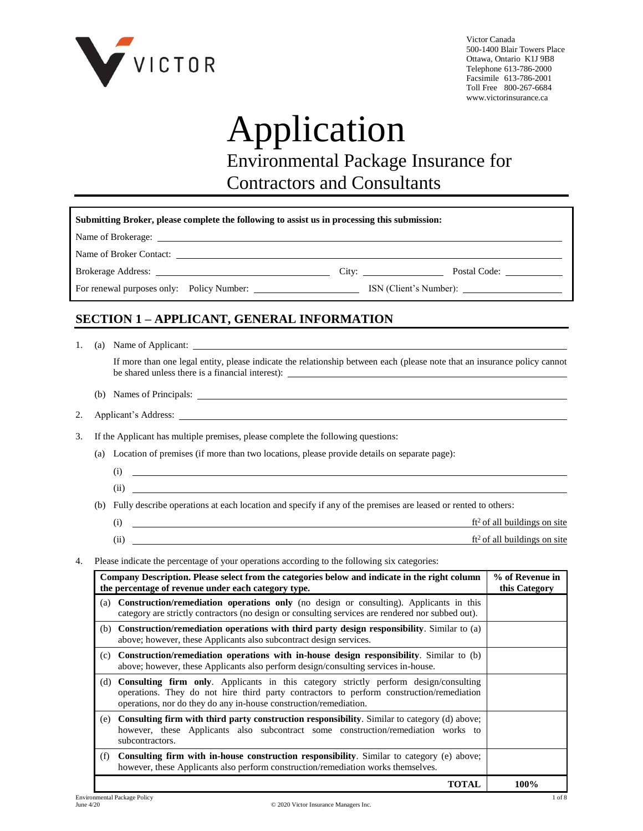

Victor Canada 500-1400 Blair Towers Place Ottawa, Ontario K1J 9B8 Telephone 613-786-2000 Facsimile 613-786-2001 Toll Free 800-267-6684 www.victorinsurance.ca

# Application

Environmental Package Insurance for

Contractors and Consultants

| Submitting Broker, please complete the following to assist us in processing this submission:                                                                                                                                   |       |  |  |  |  |
|--------------------------------------------------------------------------------------------------------------------------------------------------------------------------------------------------------------------------------|-------|--|--|--|--|
| Name of Brokerage: Name of Brokerage: Name of Brokerage: Name of Brokerage: Name of Brokerage: Name of Brokerage: Name of Brokerage: Name of Brokerage: Name of Brokerage: Name of Brokerage: Name of Brokerage: Name of Broke |       |  |  |  |  |
|                                                                                                                                                                                                                                |       |  |  |  |  |
|                                                                                                                                                                                                                                | City: |  |  |  |  |
|                                                                                                                                                                                                                                |       |  |  |  |  |
|                                                                                                                                                                                                                                |       |  |  |  |  |

# **SECTION 1 – APPLICANT, GENERAL INFORMATION**

1. (a) Name of Applicant:

If more than one legal entity, please indicate the relationship between each (please note that an insurance policy cannot be shared unless there is a financial interest):

- (b) Names of Principals:
- 2. Applicant's Address:
- 3. If the Applicant has multiple premises, please complete the following questions:
	- (a) Location of premises (if more than two locations, please provide details on separate page):
		- (i) (ii)
	- (b) Fully describe operations at each location and specify if any of the premises are leased or rented to others:
		- (i)  $\frac{f}{2}$  of all buildings on site (ii)  $\overline{f(t^2)}$  of all buildings on site
- 4. Please indicate the percentage of your operations according to the following six categories:

|     | Company Description. Please select from the categories below and indicate in the right column<br>the percentage of revenue under each category type.                                                                                                         | % of Revenue in<br>this Category |
|-----|--------------------------------------------------------------------------------------------------------------------------------------------------------------------------------------------------------------------------------------------------------------|----------------------------------|
| (a) | <b>Construction/remediation operations only</b> (no design or consulting). Applicants in this<br>category are strictly contractors (no design or consulting services are rendered nor subbed out).                                                           |                                  |
| (b) | Construction/remediation operations with third party design responsibility. Similar to (a)<br>above; however, these Applicants also subcontract design services.                                                                                             |                                  |
| (c) | Construction/remediation operations with in-house design responsibility. Similar to (b)<br>above; however, these Applicants also perform design/consulting services in-house.                                                                                |                                  |
| (d) | <b>Consulting firm only.</b> Applicants in this category strictly perform design/consulting<br>operations. They do not hire third party contractors to perform construction/remediation<br>operations, nor do they do any in-house construction/remediation. |                                  |
| (e) | Consulting firm with third party construction responsibility. Similar to category (d) above;<br>however, these Applicants also subcontract some construction/remediation works to<br>subcontractors.                                                         |                                  |
| (f) | <b>Consulting firm with in-house construction responsibility.</b> Similar to category (e) above;<br>however, these Applicants also perform construction/remediation works themselves.                                                                        |                                  |
|     | TOTAL                                                                                                                                                                                                                                                        | 100%                             |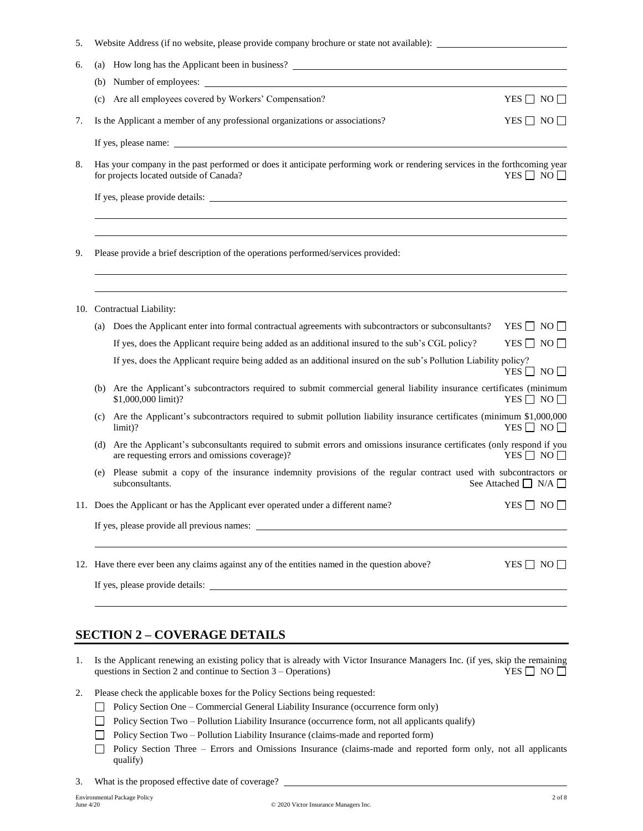|  |  | Website Address (if no website, please provide company brochure or state not available): |  |
|--|--|------------------------------------------------------------------------------------------|--|
|  |  |                                                                                          |  |

| 6.  | (a) How long has the Applicant been in business?                                                                                                                      |                      |
|-----|-----------------------------------------------------------------------------------------------------------------------------------------------------------------------|----------------------|
|     | (b)                                                                                                                                                                   |                      |
|     | Are all employees covered by Workers' Compensation?<br>(c)                                                                                                            | YES $\Box$ NO $\Box$ |
| 7.  | Is the Applicant a member of any professional organizations or associations?                                                                                          | YES $\Box$ NO $\Box$ |
|     |                                                                                                                                                                       |                      |
| 8.  | Has your company in the past performed or does it anticipate performing work or rendering services in the forthcoming year<br>for projects located outside of Canada? | YES $\Box$ NO $\Box$ |
|     |                                                                                                                                                                       |                      |
|     | ,我们也不会有什么?""我们的人,我们也不会有什么?""我们的人,我们也不会有什么?""我们的人,我们也不会有什么?""我们的人,我们也不会有什么?""我们的人<br>,我们也不会有什么。""我们的人,我们也不会有什么?""我们的人,我们也不会有什么?""我们的人,我们也不会有什么?""我们的人,我们也不会有什么?""我们的人  |                      |
| 9.  | Please provide a brief description of the operations performed/services provided:                                                                                     |                      |
|     |                                                                                                                                                                       |                      |
| 10. | Contractual Liability:                                                                                                                                                |                      |
|     | Does the Applicant enter into formal contractual agreements with subcontractors or subconsultants?<br>(a)                                                             | YES $\Box$ NO $\Box$ |
|     | If yes, does the Applicant require being added as an additional insured to the sub's CGL policy?                                                                      | YES $\Box$ NO $\Box$ |
|     | If yes, does the Applicant require being added as an additional insured on the sub's Pollution Liability policy?                                                      | YES $\Box$ NO $\Box$ |

- (b) Are the Applicant's subcontractors required to submit commercial general liability insurance certificates (minimum  $$1,000,000$  limit)? YES  $\Box$  NO  $\Box$
- (c) Are the Applicant's subcontractors required to submit pollution liability insurance certificates (minimum \$1,000,000  $limit)$ ? YES  $\Box$  NO  $\Box$
- (d) Are the Applicant's subconsultants required to submit errors and omissions insurance certificates (only respond if you are requesting errors and omissions coverage)? YES  $\Box$  NO  $\Box$ are requesting errors and omissions coverage)?
- (e) Please submit a copy of the insurance indemnity provisions of the regular contract used with subcontractors or subconsultants. See Attached  $\Box$  N/A  $\Box$

11. Does the Applicant or has the Applicant ever operated under a different name? YES  $\Box$  NO  $\Box$ 

If yes, please provide all previous names:

12. Have there ever been any claims against any of the entities named in the question above? YES  $\Box$  NO  $\Box$ 

If yes, please provide details:

### **SECTION 2 – COVERAGE DETAILS**

- 1. Is the Applicant renewing an existing policy that is already with Victor Insurance Managers Inc. (if yes, skip the remaining questions in Section 2 and continue to Section 3 Operations) YES  $\Box$  NO questions in Section 2 and continue to Section  $3 -$ Operations)
- 2. Please check the applicable boxes for the Policy Sections being requested:
	- Policy Section One Commercial General Liability Insurance (occurrence form only)
	- □ Policy Section Two Pollution Liability Insurance (occurrence form, not all applicants qualify)
	- □ Policy Section Two Pollution Liability Insurance (claims-made and reported form)
	- Policy Section Three Errors and Omissions Insurance (claims-made and reported form only, not all applicants qualify)
- 3. What is the proposed effective date of coverage?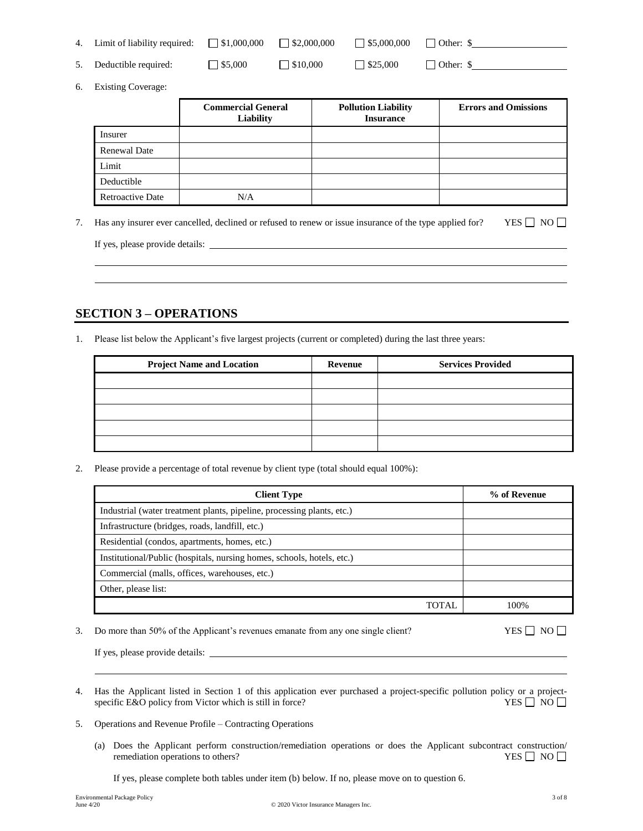| 4. Limit of liability required: $\Box$ \$1,000,000 |                | $\vert$ \$2,000,000    | $\Box$ \$5,000,000 | Other: \$                |
|----------------------------------------------------|----------------|------------------------|--------------------|--------------------------|
| 5. Deductible required:                            | $\Box$ \$5,000 | $\frac{1}{1}$ \$10.000 | $\Box$ \$25.000    | $\blacksquare$ Other: \$ |

6. Existing Coverage:

|                         | <b>Commercial General</b><br><b>Liability</b> | <b>Pollution Liability</b><br><b>Insurance</b> | <b>Errors and Omissions</b> |
|-------------------------|-----------------------------------------------|------------------------------------------------|-----------------------------|
| Insurer                 |                                               |                                                |                             |
| <b>Renewal Date</b>     |                                               |                                                |                             |
| Limit                   |                                               |                                                |                             |
| Deductible              |                                               |                                                |                             |
| <b>Retroactive Date</b> | N/A                                           |                                                |                             |

7. Has any insurer ever cancelled, declined or refused to renew or issue insurance of the type applied for? YES  $\Box$  NO  $\Box$ 

If yes, please provide details:

### **SECTION 3 – OPERATIONS**

1. Please list below the Applicant's five largest projects (current or completed) during the last three years:

| <b>Project Name and Location</b> | Revenue | <b>Services Provided</b> |
|----------------------------------|---------|--------------------------|
|                                  |         |                          |
|                                  |         |                          |
|                                  |         |                          |
|                                  |         |                          |
|                                  |         |                          |

2. Please provide a percentage of total revenue by client type (total should equal 100%):

| <b>Client Type</b>                                                     |       | % of Revenue |
|------------------------------------------------------------------------|-------|--------------|
| Industrial (water treatment plants, pipeline, processing plants, etc.) |       |              |
| Infrastructure (bridges, roads, landfill, etc.)                        |       |              |
| Residential (condos, apartments, homes, etc.)                          |       |              |
| Institutional/Public (hospitals, nursing homes, schools, hotels, etc.) |       |              |
| Commercial (malls, offices, warehouses, etc.)                          |       |              |
| Other, please list:                                                    |       |              |
|                                                                        | TOTAI | 100%         |

3. Do more than 50% of the Applicant's revenues emanate from any one single client? YES  $\Box$  NO  $\Box$ 

If yes, please provide details:

- 4. Has the Applicant listed in Section 1 of this application ever purchased a project-specific pollution policy or a project-specific E&O policy from Victor which is still in force? YES  $\Box$  NO  $\Box$ specific E&O policy from Victor which is still in force?
- 5. Operations and Revenue Profile Contracting Operations
	- (a) Does the Applicant perform construction/remediation operations or does the Applicant subcontract construction/ remediation operations to others?  $YES \Box NO \Box$

If yes, please complete both tables under item (b) below. If no, please move on to question 6.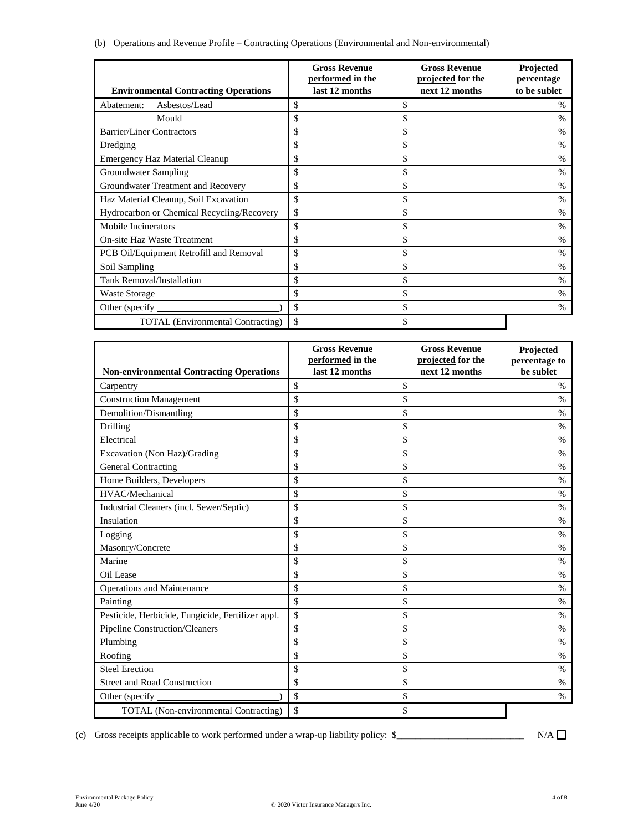|  | (b) Operations and Revenue Profile - Contracting Operations (Environmental and Non-environmental) |  |  |  |
|--|---------------------------------------------------------------------------------------------------|--|--|--|
|  |                                                                                                   |  |  |  |
|  |                                                                                                   |  |  |  |

| <b>Environmental Contracting Operations</b> | <b>Gross Revenue</b><br>performed in the<br>last 12 months | <b>Gross Revenue</b><br>projected for the<br>next 12 months | Projected<br>percentage<br>to be sublet |
|---------------------------------------------|------------------------------------------------------------|-------------------------------------------------------------|-----------------------------------------|
| Asbestos/Lead<br>Abatement:                 | \$                                                         | \$                                                          | $\frac{0}{0}$                           |
| Mould                                       | \$                                                         | \$                                                          | $\frac{0}{0}$                           |
| <b>Barrier/Liner Contractors</b>            | \$                                                         | \$                                                          | $\frac{0}{0}$                           |
| Dredging                                    | \$                                                         | \$                                                          | $\frac{0}{0}$                           |
| <b>Emergency Haz Material Cleanup</b>       | \$                                                         | \$                                                          | $\frac{0}{0}$                           |
| Groundwater Sampling                        | \$                                                         | \$                                                          | $\frac{0}{0}$                           |
| Groundwater Treatment and Recovery          | \$                                                         | \$                                                          | $\frac{0}{0}$                           |
| Haz Material Cleanup, Soil Excavation       | \$                                                         | \$                                                          | $\frac{0}{0}$                           |
| Hydrocarbon or Chemical Recycling/Recovery  | \$                                                         | \$                                                          | $\%$                                    |
| <b>Mobile Incinerators</b>                  | \$                                                         | \$                                                          | $\frac{0}{0}$                           |
| <b>On-site Haz Waste Treatment</b>          | \$                                                         | \$                                                          | $\frac{0}{0}$                           |
| PCB Oil/Equipment Retrofill and Removal     | \$                                                         | \$                                                          | $\frac{0}{0}$                           |
| Soil Sampling                               | \$                                                         | \$                                                          | $\frac{0}{0}$                           |
| Tank Removal/Installation                   | \$                                                         | \$                                                          | $\%$                                    |
| <b>Waste Storage</b>                        | \$                                                         | \$                                                          | $\frac{0}{0}$                           |
| Other (specify)                             | \$                                                         | \$                                                          | $\%$                                    |
| <b>TOTAL</b> (Environmental Contracting)    | \$                                                         | \$                                                          |                                         |

|                                                   | <b>Gross Revenue</b><br>performed in the | <b>Gross Revenue</b><br>projected for the | Projected<br>percentage to |
|---------------------------------------------------|------------------------------------------|-------------------------------------------|----------------------------|
| <b>Non-environmental Contracting Operations</b>   | last 12 months                           | next 12 months                            | be sublet                  |
| Carpentry                                         | \$                                       | \$                                        | $\frac{0}{0}$              |
| <b>Construction Management</b>                    | \$                                       | \$                                        | $\frac{0}{0}$              |
| Demolition/Dismantling                            | \$                                       | \$                                        | %                          |
| Drilling                                          | \$                                       | \$                                        | $\frac{0}{0}$              |
| Electrical                                        | \$                                       | \$                                        | %                          |
| Excavation (Non Haz)/Grading                      | \$                                       | \$                                        | $\%$                       |
| <b>General Contracting</b>                        | \$                                       | \$                                        | $\%$                       |
| Home Builders, Developers                         | \$                                       | \$                                        | $\%$                       |
| HVAC/Mechanical                                   | \$                                       | \$                                        | %                          |
| Industrial Cleaners (incl. Sewer/Septic)          | \$                                       | \$                                        | $\frac{0}{0}$              |
| Insulation                                        | \$                                       | \$                                        | %                          |
| Logging                                           | \$                                       | \$                                        | $\frac{0}{0}$              |
| Masonry/Concrete                                  | \$                                       | \$                                        | %                          |
| Marine                                            | \$                                       | \$                                        | $\%$                       |
| Oil Lease                                         | \$                                       | \$                                        | $\%$                       |
| Operations and Maintenance                        | \$                                       | \$                                        | %                          |
| Painting                                          | \$                                       | \$                                        | %                          |
| Pesticide, Herbicide, Fungicide, Fertilizer appl. | \$                                       | \$                                        | $\frac{0}{0}$              |
| <b>Pipeline Construction/Cleaners</b>             | \$                                       | \$                                        | $\frac{0}{0}$              |
| Plumbing                                          | \$                                       | \$                                        | $\frac{0}{0}$              |
| Roofing                                           | \$                                       | \$                                        | $\%$                       |
| <b>Steel Erection</b>                             | \$                                       | \$                                        | %                          |
| <b>Street and Road Construction</b>               | \$                                       | \$                                        | %                          |
| Other (specify                                    | \$                                       | \$                                        | $\%$                       |
| <b>TOTAL</b> (Non-environmental Contracting)      | \$                                       | \$                                        |                            |

(c) Gross receipts applicable to work performed under a wrap-up liability policy:  $\frac{1}{2}$   $N/A$   $\Box$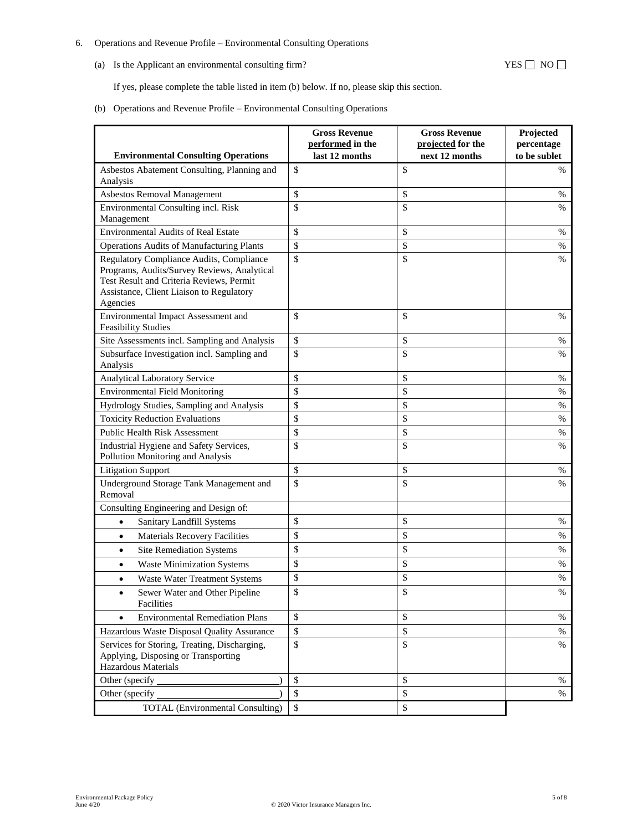#### 6. Operations and Revenue Profile – Environmental Consulting Operations

(a) Is the Applicant an environmental consulting firm?  $YES \Box NO \Box$ 

If yes, please complete the table listed in item (b) below. If no, please skip this section.

(b) Operations and Revenue Profile – Environmental Consulting Operations

|                                                                                                                                                                                             | <b>Gross Revenue</b><br>performed in the<br>last 12 months | <b>Gross Revenue</b><br>projected for the | Projected<br>percentage |
|---------------------------------------------------------------------------------------------------------------------------------------------------------------------------------------------|------------------------------------------------------------|-------------------------------------------|-------------------------|
| <b>Environmental Consulting Operations</b>                                                                                                                                                  |                                                            | next 12 months                            | to be sublet            |
| Asbestos Abatement Consulting, Planning and<br>Analysis                                                                                                                                     | \$                                                         | \$                                        | %                       |
| Asbestos Removal Management                                                                                                                                                                 | \$                                                         | \$                                        | %                       |
| Environmental Consulting incl. Risk<br>Management                                                                                                                                           | \$                                                         | \$                                        | %                       |
| <b>Environmental Audits of Real Estate</b>                                                                                                                                                  | \$                                                         | \$                                        | %                       |
| <b>Operations Audits of Manufacturing Plants</b>                                                                                                                                            | \$                                                         | \$                                        | %                       |
| Regulatory Compliance Audits, Compliance<br>Programs, Audits/Survey Reviews, Analytical<br>Test Result and Criteria Reviews, Permit<br>Assistance, Client Liaison to Regulatory<br>Agencies | \$                                                         | \$                                        | $\%$                    |
| Environmental Impact Assessment and<br><b>Feasibility Studies</b>                                                                                                                           | \$                                                         | \$                                        | %                       |
| Site Assessments incl. Sampling and Analysis                                                                                                                                                | \$                                                         | \$                                        | %                       |
| Subsurface Investigation incl. Sampling and<br>Analysis                                                                                                                                     | \$                                                         | \$                                        | %                       |
| Analytical Laboratory Service                                                                                                                                                               | \$                                                         | \$                                        | %                       |
| <b>Environmental Field Monitoring</b>                                                                                                                                                       | \$                                                         | \$                                        | %                       |
| Hydrology Studies, Sampling and Analysis                                                                                                                                                    | \$                                                         | \$                                        | $\%$                    |
| <b>Toxicity Reduction Evaluations</b>                                                                                                                                                       | \$                                                         | \$                                        | %                       |
| <b>Public Health Risk Assessment</b>                                                                                                                                                        | \$                                                         | \$                                        | %                       |
| Industrial Hygiene and Safety Services,<br>Pollution Monitoring and Analysis                                                                                                                | \$                                                         | \$                                        | %                       |
| <b>Litigation Support</b>                                                                                                                                                                   | \$                                                         | \$                                        | %                       |
| Underground Storage Tank Management and<br>Removal                                                                                                                                          | \$                                                         | \$                                        | %                       |
| Consulting Engineering and Design of:                                                                                                                                                       |                                                            |                                           |                         |
| Sanitary Landfill Systems<br>$\bullet$                                                                                                                                                      | \$                                                         | \$                                        | %                       |
| <b>Materials Recovery Facilities</b><br>$\bullet$                                                                                                                                           | \$                                                         | \$                                        | %                       |
| <b>Site Remediation Systems</b><br>$\bullet$                                                                                                                                                | \$                                                         | \$                                        | %                       |
| <b>Waste Minimization Systems</b><br>$\bullet$                                                                                                                                              | \$                                                         | \$                                        | $\%$                    |
| Waste Water Treatment Systems<br>$\bullet$                                                                                                                                                  | \$                                                         | \$                                        | %                       |
| Sewer Water and Other Pipeline<br>Facilities                                                                                                                                                | \$                                                         | \$                                        | $\%$                    |
| <b>Environmental Remediation Plans</b><br>$\bullet$                                                                                                                                         | \$                                                         | \$                                        | $\%$                    |
| Hazardous Waste Disposal Quality Assurance                                                                                                                                                  | \$                                                         | \$                                        | $\%$                    |
| Services for Storing, Treating, Discharging,<br>Applying, Disposing or Transporting<br><b>Hazardous Materials</b>                                                                           | $\mathsf{\$}$                                              | \$                                        | $\%$                    |
| Other (specify                                                                                                                                                                              | \$                                                         | \$                                        | $\%$                    |
| Other (specify                                                                                                                                                                              | \$                                                         | \$                                        | $\%$                    |
| <b>TOTAL</b> (Environmental Consulting)                                                                                                                                                     | $\mathbb{S}$                                               | \$                                        |                         |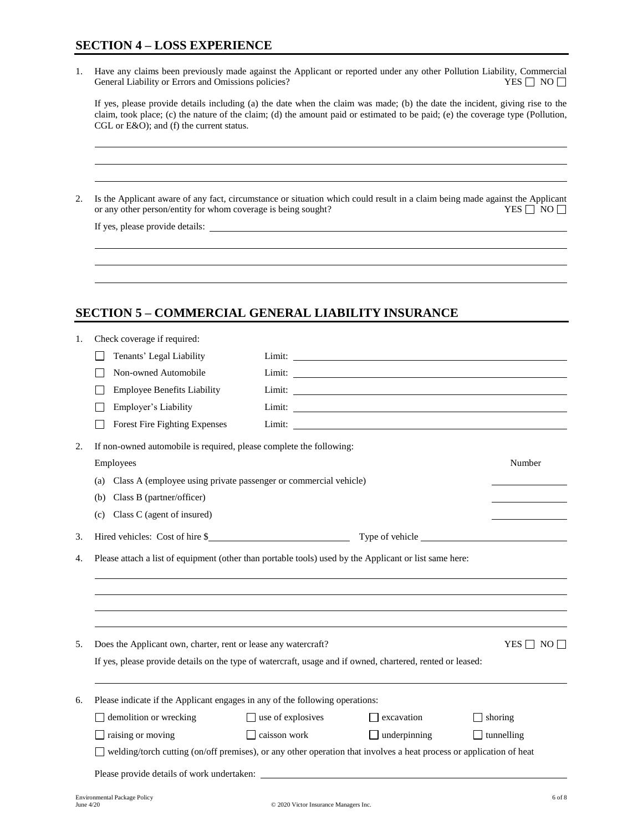1. Have any claims been previously made against the Applicant or reported under any other Pollution Liability, Commercial General Liability or Errors and Omissions policies? General Liability or Errors and Omissions policies?

| If yes, please provide details including (a) the date when the claim was made; (b) the date the incident, giving rise to the   |
|--------------------------------------------------------------------------------------------------------------------------------|
| claim, took place; (c) the nature of the claim; (d) the amount paid or estimated to be paid; (e) the coverage type (Pollution, |
| CGL or $E&O$ ; and (f) the current status.                                                                                     |

2. Is the Applicant aware of any fact, circumstance or situation which could result in a claim being made against the Applicant or any other person/entity for whom coverage is being sought? YES  $\Box$  NO  $\Box$ 

If yes, please provide details:

# **SECTION 5 – COMMERCIAL GENERAL LIABILITY INSURANCE**

| 1. | Check coverage if required:                                                                                         |                          |                                                                                                                                                                                                                                |                      |
|----|---------------------------------------------------------------------------------------------------------------------|--------------------------|--------------------------------------------------------------------------------------------------------------------------------------------------------------------------------------------------------------------------------|----------------------|
|    | Tenants' Legal Liability                                                                                            |                          | Limit: experience and the contract of the contract of the contract of the contract of the contract of the contract of the contract of the contract of the contract of the contract of the contract of the contract of the cont |                      |
|    | Non-owned Automobile                                                                                                |                          |                                                                                                                                                                                                                                |                      |
|    | <b>Employee Benefits Liability</b>                                                                                  |                          |                                                                                                                                                                                                                                |                      |
|    | Employer's Liability                                                                                                |                          |                                                                                                                                                                                                                                |                      |
|    | Forest Fire Fighting Expenses                                                                                       |                          | Limit: experience and the contract of the contract of the contract of the contract of the contract of the contract of the contract of the contract of the contract of the contract of the contract of the contract of the cont |                      |
| 2. | If non-owned automobile is required, please complete the following:                                                 |                          |                                                                                                                                                                                                                                |                      |
|    | Employees                                                                                                           |                          |                                                                                                                                                                                                                                | Number               |
|    | (a) Class A (employee using private passenger or commercial vehicle)                                                |                          |                                                                                                                                                                                                                                |                      |
|    | Class B (partner/officer)<br>(b)                                                                                    |                          |                                                                                                                                                                                                                                |                      |
|    | Class C (agent of insured)<br>(c)                                                                                   |                          |                                                                                                                                                                                                                                |                      |
| 3. |                                                                                                                     |                          |                                                                                                                                                                                                                                |                      |
|    |                                                                                                                     |                          |                                                                                                                                                                                                                                |                      |
| 5. | Does the Applicant own, charter, rent or lease any watercraft?                                                      |                          |                                                                                                                                                                                                                                | YES $\Box$ NO $\Box$ |
|    | If yes, please provide details on the type of watercraft, usage and if owned, chartered, rented or leased:          |                          |                                                                                                                                                                                                                                |                      |
| 6. | Please indicate if the Applicant engages in any of the following operations:                                        |                          |                                                                                                                                                                                                                                |                      |
|    | demolition or wrecking                                                                                              | $\Box$ use of explosives | $\Box$ excavation                                                                                                                                                                                                              | $\Box$ shoring       |
|    | raising or moving                                                                                                   | $\Box$ caisson work      | $\Box$ underpinning                                                                                                                                                                                                            | $\Box$ tunnelling    |
|    | welding/torch cutting (on/off premises), or any other operation that involves a heat process or application of heat |                          |                                                                                                                                                                                                                                |                      |
|    |                                                                                                                     |                          |                                                                                                                                                                                                                                |                      |
|    |                                                                                                                     |                          |                                                                                                                                                                                                                                |                      |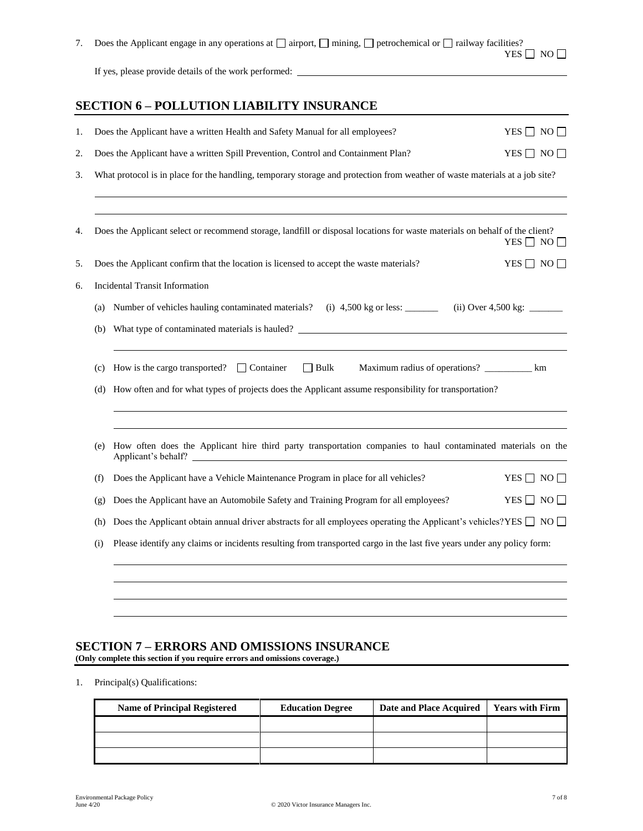| Does the Applicant engage in any operations at $\Box$ airport, $\Box$ mining, $\Box$ petrochemical or $\Box$ railway facilities? |  |
|----------------------------------------------------------------------------------------------------------------------------------|--|
| YES $\Box$ NO $\Box$                                                                                                             |  |
| If yes, please provide details of the work performed:                                                                            |  |

# **SECTION 6 – POLLUTION LIABILITY INSURANCE**

| 1. |     | Does the Applicant have a written Health and Safety Manual for all employees?                                                       | YES $\Box$ NO $\Box$ |  |  |
|----|-----|-------------------------------------------------------------------------------------------------------------------------------------|----------------------|--|--|
| 2. |     | Does the Applicant have a written Spill Prevention, Control and Containment Plan?                                                   | YES $\Box$ NO $\Box$ |  |  |
| 3. |     | What protocol is in place for the handling, temporary storage and protection from weather of waste materials at a job site?         |                      |  |  |
| 4. |     | Does the Applicant select or recommend storage, landfill or disposal locations for waste materials on behalf of the client?         | YES $\Box$ NO $\Box$ |  |  |
| 5. |     | Does the Applicant confirm that the location is licensed to accept the waste materials?                                             | YES $\Box$ NO $\Box$ |  |  |
| 6. |     | <b>Incidental Transit Information</b>                                                                                               |                      |  |  |
|    | (a) | Number of vehicles hauling contaminated materials? (i) 4,500 kg or less: _______ (ii) Over 4,500 kg: _____                          |                      |  |  |
|    | (b) |                                                                                                                                     |                      |  |  |
|    | (c) | How is the cargo transported? $\Box$ Container $\Box$ Bulk<br>Maximum radius of operations? ____________ km                         |                      |  |  |
|    | (d) | How often and for what types of projects does the Applicant assume responsibility for transportation?                               |                      |  |  |
|    | (e) | How often does the Applicant hire third party transportation companies to haul contaminated materials on the<br>Applicant's behalf? |                      |  |  |
|    | (f) | Does the Applicant have a Vehicle Maintenance Program in place for all vehicles?                                                    | $YES \Box NO \Box$   |  |  |
|    | (g) | Does the Applicant have an Automobile Safety and Training Program for all employees?                                                | YES $\Box$ NO $\Box$ |  |  |
|    | (h) | Does the Applicant obtain annual driver abstracts for all employees operating the Applicant's vehicles? YES $\Box$ NO $\Box$        |                      |  |  |
|    | (i) | Please identify any claims or incidents resulting from transported cargo in the last five years under any policy form:              |                      |  |  |
|    |     |                                                                                                                                     |                      |  |  |
|    |     |                                                                                                                                     |                      |  |  |
|    |     |                                                                                                                                     |                      |  |  |

#### **SECTION 7 – ERRORS AND OMISSIONS INSURANCE (Only complete this section if you require errors and omissions coverage.)**

1. Principal(s) Qualifications:

| <b>Name of Principal Registered</b> | <b>Education Degree</b> | Date and Place Acquired | <b>Years with Firm</b> |
|-------------------------------------|-------------------------|-------------------------|------------------------|
|                                     |                         |                         |                        |
|                                     |                         |                         |                        |
|                                     |                         |                         |                        |